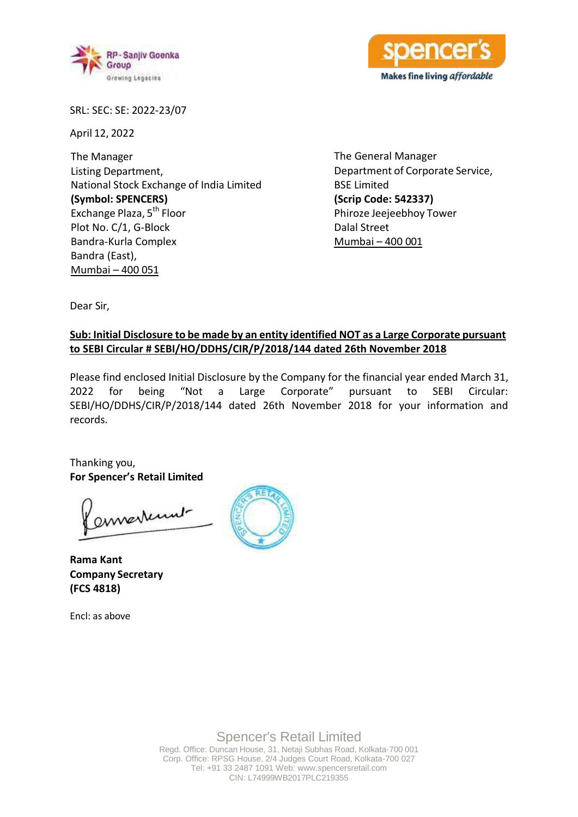



SRL: SEC: SE: 2022-23/07

April 12, 2022

The Manager Listing Department, National Stock Exchange of India Limited **(Symbol: SPENCERS)** Exchange Plaza, 5<sup>th</sup> Floor Plot No. C/1, G-Block Bandra-Kurla Complex Bandra (East), Mumbai – 400 051

The General Manager Department of Corporate Service, BSE Limited **(Scrip Code: 542337)**  Phiroze Jeejeebhoy Tower Dalal Street Mumbai – 400 001

Dear Sir,

## **Sub: Initial Disclosure to be made by an entity identified NOT as a Large Corporate pursuant to SEBI Circular # SEBI/HO/DDHS/CIR/P/2018/144 dated 26th November 2018**

Please find enclosed Initial Disclosure by the Company for the financial year ended March 31, 2022 for being "Not a Large Corporate" pursuant to SEBI Circular: SEBI/HO/DDHS/CIR/P/2018/144 dated 26th November 2018 for your information and records.

Thanking you, **For Spencer's Retail Limited**

ennestenut

**Rama Kant Company Secretary (FCS 4818)**

Encl: as above



Spencer's Retail Limited Regd. Office: Duncan House, 31, Netaji Subhas Road, Kolkata-700 001 Corp. Office: RPSG House, 2/4 Judges Court Road, Kolkata-700 027 Tel: +91 33 2487 1091 Web[: www.spencersretail.com](http://www.spencersretail.com/) CIN: L74999WB2017PLC219355